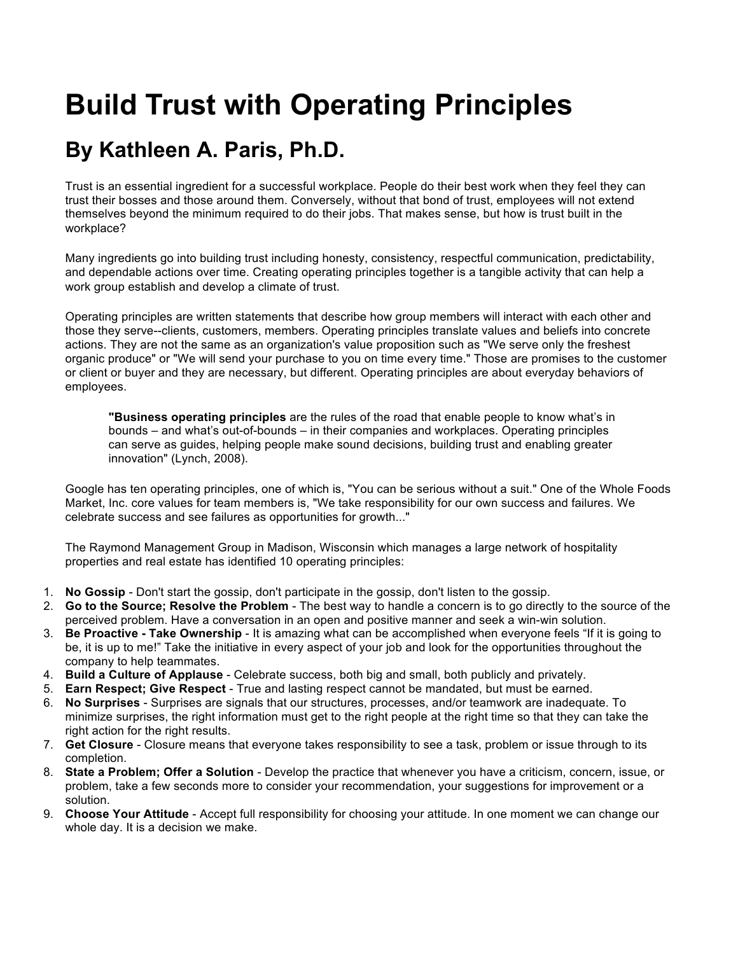## **Build Trust with Operating Principles**

## **By Kathleen A. Paris, Ph.D.**

Trust is an essential ingredient for a successful workplace. People do their best work when they feel they can trust their bosses and those around them. Conversely, without that bond of trust, employees will not extend themselves beyond the minimum required to do their jobs. That makes sense, but how is trust built in the workplace?

Many ingredients go into building trust including honesty, consistency, respectful communication, predictability, and dependable actions over time. Creating operating principles together is a tangible activity that can help a work group establish and develop a climate of trust.

Operating principles are written statements that describe how group members will interact with each other and those they serve--clients, customers, members. Operating principles translate values and beliefs into concrete actions. They are not the same as an organization's value proposition such as "We serve only the freshest organic produce" or "We will send your purchase to you on time every time." Those are promises to the customer or client or buyer and they are necessary, but different. Operating principles are about everyday behaviors of employees.

**"Business operating principles** are the rules of the road that enable people to know what's in bounds – and what's out-of-bounds – in their companies and workplaces. Operating principles can serve as guides, helping people make sound decisions, building trust and enabling greater innovation" (Lynch, 2008).

Google has ten operating principles, one of which is, "You can be serious without a suit." One of the Whole Foods Market, Inc. core values for team members is, "We take responsibility for our own success and failures. We celebrate success and see failures as opportunities for growth..."

The Raymond Management Group in Madison, Wisconsin which manages a large network of hospitality properties and real estate has identified 10 operating principles:

- 1. **No Gossip** Don't start the gossip, don't participate in the gossip, don't listen to the gossip.
- 2. **Go to the Source; Resolve the Problem** The best way to handle a concern is to go directly to the source of the perceived problem. Have a conversation in an open and positive manner and seek a win-win solution.
- 3. **Be Proactive - Take Ownership** It is amazing what can be accomplished when everyone feels "If it is going to be, it is up to me!" Take the initiative in every aspect of your job and look for the opportunities throughout the company to help teammates.
- 4. **Build a Culture of Applause** Celebrate success, both big and small, both publicly and privately.
- 5. **Earn Respect; Give Respect** True and lasting respect cannot be mandated, but must be earned.
- 6. **No Surprises** Surprises are signals that our structures, processes, and/or teamwork are inadequate. To minimize surprises, the right information must get to the right people at the right time so that they can take the right action for the right results.
- 7. **Get Closure** Closure means that everyone takes responsibility to see a task, problem or issue through to its completion.
- 8. **State a Problem; Offer a Solution** Develop the practice that whenever you have a criticism, concern, issue, or problem, take a few seconds more to consider your recommendation, your suggestions for improvement or a solution.
- 9. **Choose Your Attitude** Accept full responsibility for choosing your attitude. In one moment we can change our whole day. It is a decision we make.